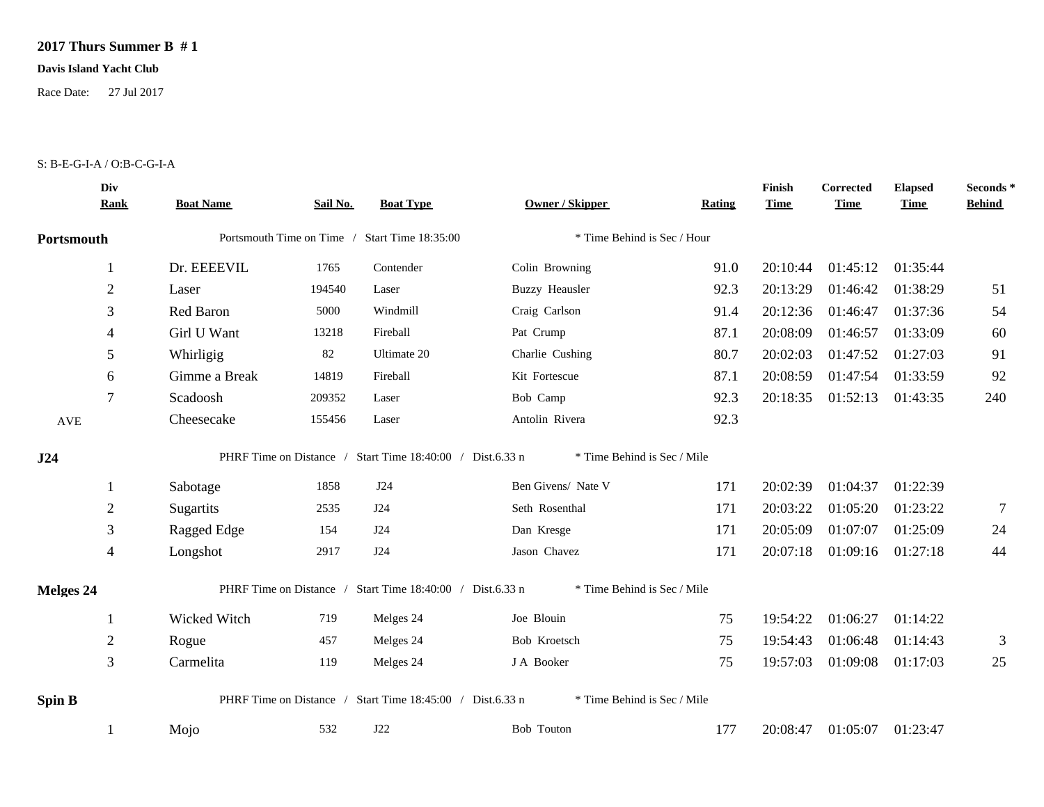## **2017 Thurs Summer B # 1**

## **Davis Island Yacht Club**

Race Date: 27 Jul 2017

## S: B-E-G-I-A / O:B-C-G-I-A

|                  | Div<br><b>Rank</b> | <b>Boat Name</b>                              | Sail No. | <b>Boat Type</b>                                          | <b>Owner / Skipper</b>      | Rating | Finish<br><b>Time</b> | Corrected<br><b>Time</b> | <b>Elapsed</b><br><b>Time</b> | Seconds*<br><b>Behind</b> |
|------------------|--------------------|-----------------------------------------------|----------|-----------------------------------------------------------|-----------------------------|--------|-----------------------|--------------------------|-------------------------------|---------------------------|
| Portsmouth       |                    | Portsmouth Time on Time / Start Time 18:35:00 |          |                                                           | * Time Behind is Sec / Hour |        |                       |                          |                               |                           |
|                  |                    | Dr. EEEEVIL                                   | 1765     | Contender                                                 | Colin Browning              | 91.0   | 20:10:44              | 01:45:12                 | 01:35:44                      |                           |
|                  | $\overline{2}$     | Laser                                         | 194540   | Laser                                                     | <b>Buzzy Heausler</b>       | 92.3   | 20:13:29              | 01:46:42                 | 01:38:29                      | 51                        |
|                  | 3                  | Red Baron                                     | 5000     | Windmill                                                  | Craig Carlson               | 91.4   | 20:12:36              | 01:46:47                 | 01:37:36                      | 54                        |
|                  | 4                  | Girl U Want                                   | 13218    | Fireball                                                  | Pat Crump                   | 87.1   | 20:08:09              | 01:46:57                 | 01:33:09                      | 60                        |
|                  | 5                  | Whirligig                                     | 82       | Ultimate 20                                               | Charlie Cushing             | 80.7   | 20:02:03              | 01:47:52                 | 01:27:03                      | 91                        |
|                  | 6                  | Gimme a Break                                 | 14819    | Fireball                                                  | Kit Fortescue               | 87.1   | 20:08:59              | 01:47:54                 | 01:33:59                      | 92                        |
|                  | 7                  | Scadoosh                                      | 209352   | Laser                                                     | Bob Camp                    | 92.3   | 20:18:35              | 01:52:13                 | 01:43:35                      | 240                       |
| AVE              |                    | Cheesecake                                    | 155456   | Laser                                                     | Antolin Rivera              | 92.3   |                       |                          |                               |                           |
| J24              |                    |                                               |          | PHRF Time on Distance / Start Time 18:40:00 / Dist.6.33 n | * Time Behind is Sec / Mile |        |                       |                          |                               |                           |
|                  |                    | Sabotage                                      | 1858     | J24                                                       | Ben Givens/ Nate V          | 171    | 20:02:39              | 01:04:37                 | 01:22:39                      |                           |
|                  | $\overline{2}$     | Sugartits                                     | 2535     | J24                                                       | Seth Rosenthal              | 171    | 20:03:22              | 01:05:20                 | 01:23:22                      | $\overline{7}$            |
|                  | 3                  | Ragged Edge                                   | 154      | J24                                                       | Dan Kresge                  | 171    | 20:05:09              | 01:07:07                 | 01:25:09                      | 24                        |
|                  | $\overline{4}$     | Longshot                                      | 2917     | J24                                                       | Jason Chavez                | 171    | 20:07:18              | 01:09:16 01:27:18        |                               | 44                        |
| <b>Melges 24</b> |                    |                                               |          | PHRF Time on Distance / Start Time 18:40:00 / Dist.6.33 n | * Time Behind is Sec / Mile |        |                       |                          |                               |                           |
|                  |                    | Wicked Witch                                  | 719      | Melges 24                                                 | Joe Blouin                  | 75     | 19:54:22              | 01:06:27                 | 01:14:22                      |                           |
|                  | $\overline{c}$     | Rogue                                         | 457      | Melges 24                                                 | Bob Kroetsch                | 75     | 19:54:43              | 01:06:48                 | 01:14:43                      | 3                         |
|                  | 3                  | Carmelita                                     | 119      | Melges 24                                                 | J A Booker                  | 75     | 19:57:03              | 01:09:08                 | 01:17:03                      | 25                        |
| <b>Spin B</b>    |                    |                                               |          | PHRF Time on Distance / Start Time 18:45:00 / Dist.6.33 n | * Time Behind is Sec / Mile |        |                       |                          |                               |                           |
|                  |                    | Mojo                                          | 532      | J22                                                       | Bob Touton                  | 177    | 20:08:47              | 01:05:07 01:23:47        |                               |                           |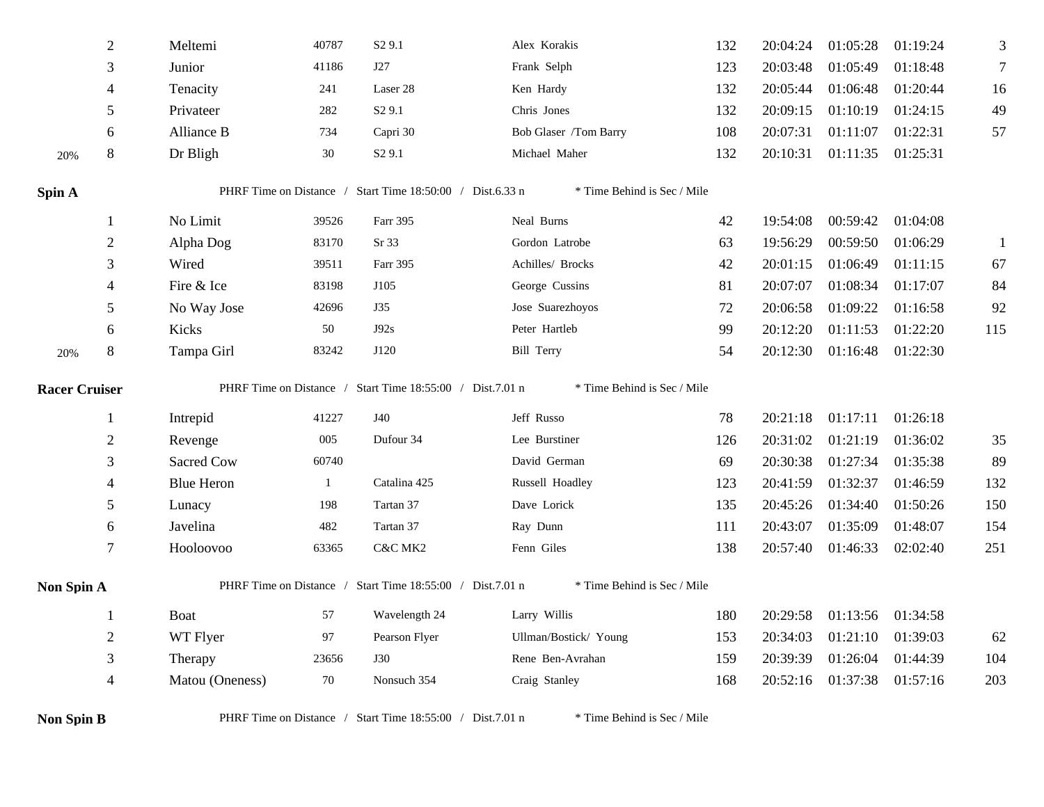|                      | $\sqrt{2}$     | Meltemi                                                                                  | 40787        | S <sub>2</sub> 9.1                                        | Alex Korakis                | 132 | 20:04:24 | 01:05:28          | 01:19:24 | 3            |
|----------------------|----------------|------------------------------------------------------------------------------------------|--------------|-----------------------------------------------------------|-----------------------------|-----|----------|-------------------|----------|--------------|
|                      | 3              | Junior                                                                                   | 41186        | J27                                                       | Frank Selph                 | 123 | 20:03:48 | 01:05:49          | 01:18:48 | 7            |
|                      | $\overline{4}$ | Tenacity                                                                                 | 241          | Laser 28                                                  | Ken Hardy                   | 132 | 20:05:44 | 01:06:48          | 01:20:44 | 16           |
|                      | $\mathfrak{S}$ | Privateer                                                                                | 282          | S <sub>2</sub> 9.1                                        | Chris Jones                 | 132 | 20:09:15 | 01:10:19          | 01:24:15 | 49           |
|                      | 6              | Alliance B                                                                               | 734          | Capri 30                                                  | Bob Glaser /Tom Barry       | 108 | 20:07:31 | 01:11:07          | 01:22:31 | 57           |
| 20%                  | $\,8\,$        | Dr Bligh                                                                                 | 30           | S <sub>2</sub> 9.1                                        | Michael Maher               | 132 | 20:10:31 | 01:11:35          | 01:25:31 |              |
| Spin A               |                |                                                                                          |              | PHRF Time on Distance / Start Time 18:50:00 / Dist.6.33 n | * Time Behind is Sec / Mile |     |          |                   |          |              |
|                      | $\mathbf{1}$   | No Limit                                                                                 | 39526        | Farr 395                                                  | Neal Burns                  | 42  | 19:54:08 | 00:59:42          | 01:04:08 |              |
|                      | $\overline{2}$ | Alpha Dog                                                                                | 83170        | Sr 33                                                     | Gordon Latrobe              | 63  | 19:56:29 | 00:59:50          | 01:06:29 | $\mathbf{1}$ |
|                      | 3              | Wired                                                                                    | 39511        | Farr 395                                                  | Achilles/ Brocks            | 42  | 20:01:15 | 01:06:49          | 01:11:15 | 67           |
|                      | 4              | Fire & Ice                                                                               | 83198        | J105                                                      | George Cussins              | 81  | 20:07:07 | 01:08:34          | 01:17:07 | 84           |
|                      | 5              | No Way Jose                                                                              | 42696        | J35                                                       | Jose Suarezhoyos            | 72  | 20:06:58 | 01:09:22          | 01:16:58 | 92           |
|                      | 6              | Kicks                                                                                    | 50           | J92s                                                      | Peter Hartleb               | 99  | 20:12:20 | 01:11:53          | 01:22:20 | 115          |
| 20%                  | 8              | Tampa Girl                                                                               | 83242        | J120                                                      | <b>Bill Terry</b>           | 54  | 20:12:30 | 01:16:48          | 01:22:30 |              |
| <b>Racer Cruiser</b> |                |                                                                                          |              | PHRF Time on Distance / Start Time 18:55:00 / Dist.7.01 n | * Time Behind is Sec / Mile |     |          |                   |          |              |
|                      | 1              | Intrepid                                                                                 | 41227        | J40                                                       | Jeff Russo                  | 78  | 20:21:18 | 01:17:11 01:26:18 |          |              |
|                      | $2\,$          | Revenge                                                                                  | 005          | Dufour 34                                                 | Lee Burstiner               | 126 | 20:31:02 | 01:21:19          | 01:36:02 | 35           |
|                      | 3              | Sacred Cow                                                                               | 60740        |                                                           | David German                | 69  | 20:30:38 | 01:27:34          | 01:35:38 | 89           |
|                      | 4              | <b>Blue Heron</b>                                                                        | $\mathbf{1}$ | Catalina 425                                              | Russell Hoadley             | 123 | 20:41:59 | 01:32:37          | 01:46:59 | 132          |
|                      | 5              | Lunacy                                                                                   | 198          | Tartan 37                                                 | Dave Lorick                 | 135 | 20:45:26 | 01:34:40          | 01:50:26 | 150          |
|                      | 6              | Javelina                                                                                 | 482          | Tartan 37                                                 | Ray Dunn                    | 111 | 20:43:07 | 01:35:09          | 01:48:07 | 154          |
|                      | 7              | Hooloovoo                                                                                | 63365        | C&C MK2                                                   | Fenn Giles                  | 138 | 20:57:40 | 01:46:33          | 02:02:40 | 251          |
| Non Spin A           |                |                                                                                          |              | PHRF Time on Distance / Start Time 18:55:00 / Dist.7.01 n | * Time Behind is Sec / Mile |     |          |                   |          |              |
|                      | $\mathbf{1}$   | Boat                                                                                     | 57           | Wavelength 24                                             | Larry Willis                | 180 | 20:29:58 | 01:13:56          | 01:34:58 |              |
|                      | $\overline{2}$ | WT Flyer                                                                                 | 97           | Pearson Flyer                                             | Ullman/Bostick/ Young       | 153 | 20:34:03 | 01:21:10          | 01:39:03 | 62           |
|                      | 3              | Therapy                                                                                  | 23656        | J30                                                       | Rene Ben-Avrahan            | 159 | 20:39:39 | 01:26:04          | 01:44:39 | 104          |
|                      | $\overline{4}$ | Matou (Oneness)                                                                          | 70           | Nonsuch 354                                               | Craig Stanley               | 168 | 20:52:16 | 01:37:38          | 01:57:16 | 203          |
| <b>Non Spin B</b>    |                | PHRF Time on Distance / Start Time 18:55:00 / Dist.7.01 n<br>* Time Behind is Sec / Mile |              |                                                           |                             |     |          |                   |          |              |